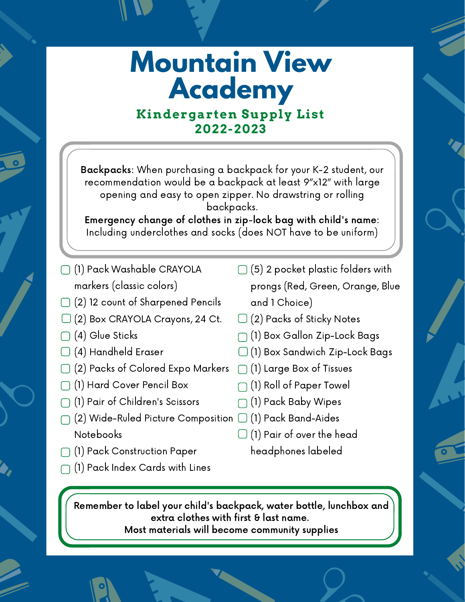### **Mountain View Academy Kindergarten Supply List**

**2022-2023**

Backpacks: When purchasing a backpack for your K-2 student, our recommendation would be a backpack at least 9"x12" with large opening and easy to open zipper. No drawstring or rolling backpacks.

Emergency change of clothes in zip-lock bag with child's name: Including underclothes and socks (does NOT have to be uniform)

- (1) Pack Washable CRAYOLA markers (classic colors)
- (2) 12 count of Sharpened Pencils
- (2) Box CRAYOLA Crayons, 24 Ct.
- $\Box$  (4) Glue Sticks
- (4) Handheld Eraser
- (2) Packs of Colored Expo Markers  $\Box$  (1) Large Box of Tissues
- (1) Hard Cover Pencil Box
- (1) Pair of Children's Scissors
- (2) Wide-Ruled Picture Composition  $\Box$  (1) Pack Band-Aides Notebooks
- (1) Pack Construction Paper
- $\cap$  (1) Pack Index Cards with Lines
- $\Box$  (5) 2 pocket plastic folders with prongs (Red, Green, Orange, Blue and 1 Choice)
- $\Box$  (2) Packs of Sticky Notes
- (1) Box Gallon Zip-Lock Bags
- (1) Box Sandwich Zip-Lock Bags
	-
- $\bigcap$  (1) Roll of Paper Towel
- (1) Pack Baby Wipes
	-
- $\Box$  (1) Pair of over the head headphones labeled

Remember to label your child's backpack, water bottle, lunchbox and extra clothes with first & last name. Most materials will become community supplies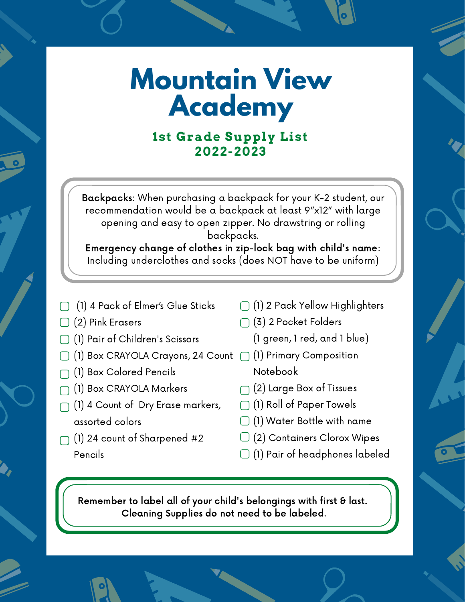#### **1st Grade Supply List 2022-2023**

Backpacks: When purchasing a backpack for your K-2 student, our recommendation would be a backpack at least 9"x12" with large opening and easy to open zipper. No drawstring or rolling backpacks.

Emergency change of clothes in zip-lock bag with child's name: Including underclothes and socks (does NOT have to be uniform)

- (1) 4 Pack of Elmer's Glue Sticks
- (2) Pink Erasers
- (1) Pair of Children's Scissors
- (1) Box CRAYOLA Crayons, 24 Count (1) Primary Composition
- (1) Box Colored Pencils
- (1) Box CRAYOLA Markers
- (1) 4 Count of Dry Erase markers, assorted colors
- (1) 24 count of Sharpened #2 Pencils
- (1) 2 Pack Yellow Highlighters
- (3) 2 Pocket Folders
	- (1 green, 1 red, and 1 blue)
	- Notebook
- $\bigcap$  (2) Large Box of Tissues
- $\bigcap$  (1) Roll of Paper Towels
- $\Box$  (1) Water Bottle with name
- $\Box$  (2) Containers Clorox Wipes
- $\Box$  (1) Pair of headphones labeled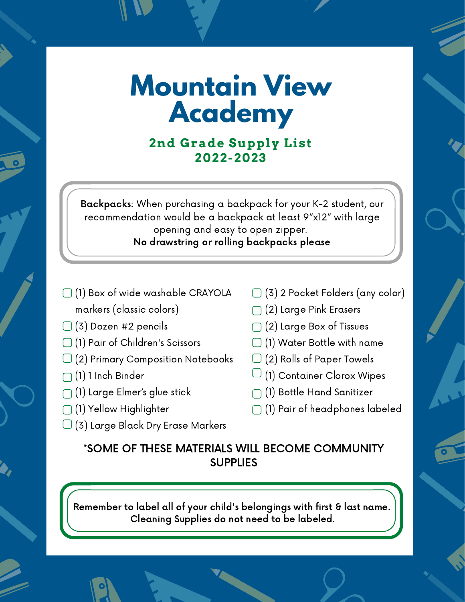#### **2nd Grade Supply List 2022-2023**

Backpacks: When purchasing a backpack for your K-2 student, our recommendation would be a backpack at least 9"x12" with large opening and easy to open zipper. No drawstring or rolling backpacks please

- (1) Box of wide washable CRAYOLA markers (classic colors)
- $\Box$  (3) Dozen #2 pencils
- (1) Pair of Children's Scissors
- $\Box$  (2) Primary Composition Notebooks
- (1) 1 Inch Binder
- $\bigcap$  (1) Large Elmer's glue stick
- (1) Yellow Highlighter
- $\Box$  (3) Large Black Dry Erase Markers
- (3) 2 Pocket Folders (any color)
- (2) Large Pink Erasers
- $\bigcap$  (2) Large Box of Tissues
- $\Box$  (1) Water Bottle with name
- $\Box$  (2) Rolls of Paper Towels
- $\Box$  (1) Container Clorox Wipes
- (1) Bottle Hand Sanitizer
- $\bigcap$  (1) Pair of headphones labeled

#### \*SOME OF THESE MATERIALS WILL BECOME COMMUNITY **SUPPLIES**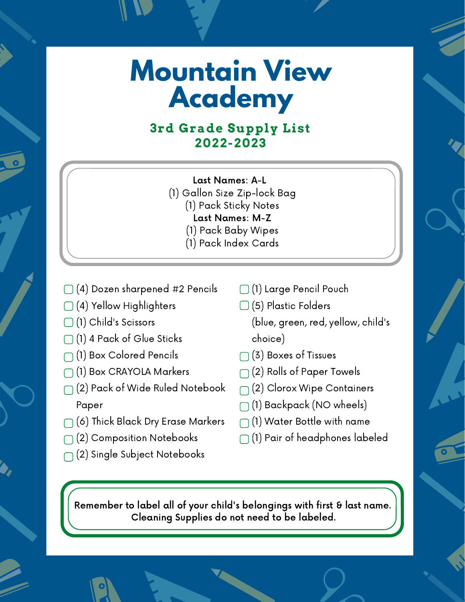#### **3rd Grade Supply List 2022-2023**

- Last Names: A-L
- (1) Gallon Size Zip-lock Bag
	- (1) Pack Sticky Notes
		- Last Names: M-Z
		- (1) Pack Baby Wipes
	- (1) Pack Index Cards
- $\Box$  (4) Dozen sharpened #2 Pencils
- $\bigcap$  (4) Yellow Highlighters
- (1) Child's Scissors
- (1) 4 Pack of Glue Sticks
- (1) Box Colored Pencils
- (1) Box CRAYOLA Markers
- $\bigcap$  (2) Pack of Wide Ruled Notebook Paper
- $\bigcap$  (6) Thick Black Dry Erase Markers
- $\bigcap$  (2) Composition Notebooks
- $\bigcap$  (2) Single Subject Notebooks
- (1) Large Pencil Pouch
- (5) Plastic Folders
	- (blue, green, red, yellow, child's choice)
- (3) Boxes of Tissues
- $\bigcap$  (2) Rolls of Paper Towels
- $\bigcap$  (2) Clorox Wipe Containers
- $\bigcap$  (1) Backpack (NO wheels)
- $\bigcap$  (1) Water Bottle with name
- $\bigcap$  (1) Pair of headphones labeled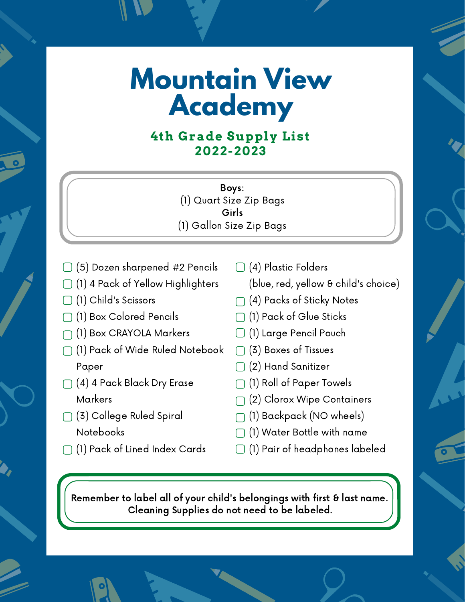#### **4th Grade Supply List 2022-2023**

Boys: (1) Quart Size Zip Bags Girls (1) Gallon Size Zip Bags

- (5) Dozen sharpened #2 Pencils
- (1) 4 Pack of Yellow Highlighters
- (1) Child's Scissors
- (1) Box Colored Pencils
- (1) Box CRAYOLA Markers
- (1) Pack of Wide Ruled Notebook Paper
- $\bigcap$  (4) 4 Pack Black Dry Erase Markers
- (3) College Ruled Spiral Notebooks
- (1) Pack of Lined Index Cards
- (4) Plastic Folders (blue, red, yellow & child's choice)
- $\bigcap$  (4) Packs of Sticky Notes
- (1) Pack of Glue Sticks
- (1) Large Pencil Pouch
- (3) Boxes of Tissues
- (2) Hand Sanitizer
- (1) Roll of Paper Towels
- (2) Clorox Wipe Containers
- $\bigcap$  (1) Backpack (NO wheels)
- (1) Water Bottle with name
- (1) Pair of headphones labeled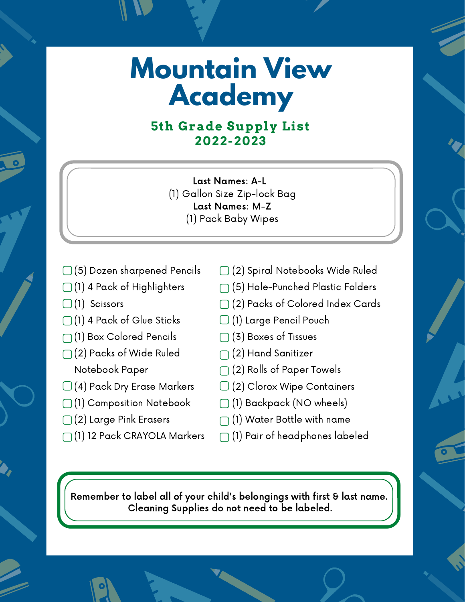#### **5th Grade Supply List 2022-2023**

Last Names: A-L (1) Gallon Size Zip-lock Bag Last Names: M-Z (1) Pack Baby Wipes

- (5) Dozen sharpened Pencils
- $\Box$  (1) 4 Pack of Highlighters
- $\Box$  (1) Scissors
- (1) 4 Pack of Glue Sticks
- (1) Box Colored Pencils
- (2) Packs of Wide Ruled Notebook Paper
- $\Box$  (4) Pack Dry Erase Markers
- (1) Composition Notebook
- (2) Large Pink Erasers
- (1) 12 Pack CRAYOLA Markers
- (2) Spiral Notebooks Wide Ruled
- (5) Hole-Punched Plastic Folders
- (2) Packs of Colored Index Cards
- (1) Large Pencil Pouch
- (3) Boxes of Tissues
- $\bigcap$  (2) Hand Sanitizer
- $\bigcap$  (2) Rolls of Paper Towels
- (2) Clorox Wipe Containers
- (1) Backpack (NO wheels)
- $\bigcap$  (1) Water Bottle with name
- $\bigcap$  (1) Pair of headphones labeled